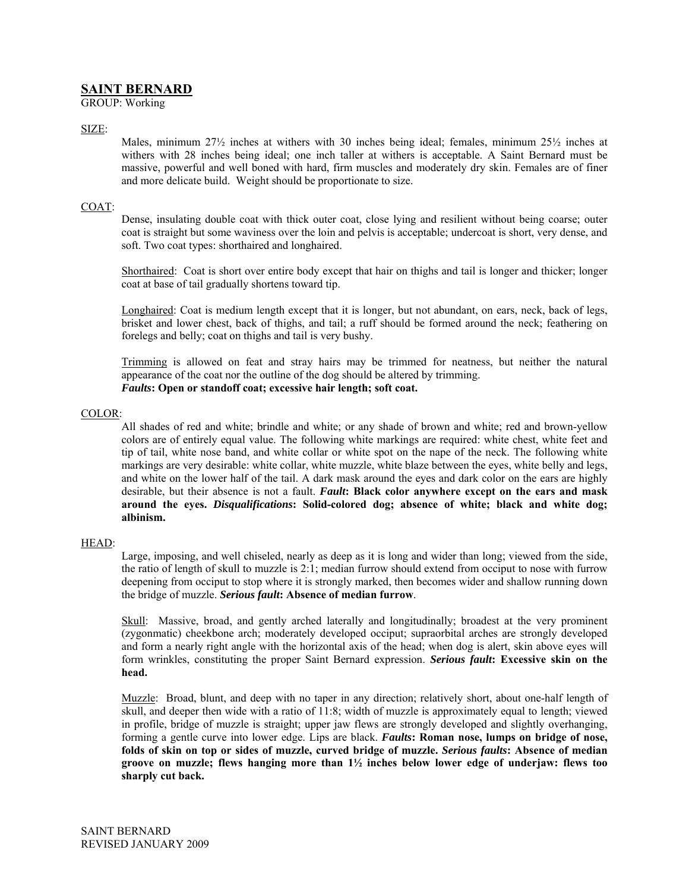# **SAINT BERNARD**

GROUP: Working

## SIZE:

Males, minimum 27½ inches at withers with 30 inches being ideal; females, minimum 25½ inches at withers with 28 inches being ideal; one inch taller at withers is acceptable. A Saint Bernard must be massive, powerful and well boned with hard, firm muscles and moderately dry skin. Females are of finer and more delicate build. Weight should be proportionate to size.

# COAT:

Dense, insulating double coat with thick outer coat, close lying and resilient without being coarse; outer coat is straight but some waviness over the loin and pelvis is acceptable; undercoat is short, very dense, and soft. Two coat types: shorthaired and longhaired.

Shorthaired: Coat is short over entire body except that hair on thighs and tail is longer and thicker; longer coat at base of tail gradually shortens toward tip.

Longhaired: Coat is medium length except that it is longer, but not abundant, on ears, neck, back of legs, brisket and lower chest, back of thighs, and tail; a ruff should be formed around the neck; feathering on forelegs and belly; coat on thighs and tail is very bushy.

Trimming is allowed on feat and stray hairs may be trimmed for neatness, but neither the natural appearance of the coat nor the outline of the dog should be altered by trimming. *Faults***: Open or standoff coat; excessive hair length; soft coat.** 

# COLOR:

All shades of red and white; brindle and white; or any shade of brown and white; red and brown-yellow colors are of entirely equal value. The following white markings are required: white chest, white feet and tip of tail, white nose band, and white collar or white spot on the nape of the neck. The following white markings are very desirable: white collar, white muzzle, white blaze between the eyes, white belly and legs, and white on the lower half of the tail. A dark mask around the eyes and dark color on the ears are highly desirable, but their absence is not a fault. *Fault***: Black color anywhere except on the ears and mask around the eyes.** *Disqualifications***: Solid-colored dog; absence of white; black and white dog; albinism.** 

### HEAD:

Large, imposing, and well chiseled, nearly as deep as it is long and wider than long; viewed from the side, the ratio of length of skull to muzzle is 2:1; median furrow should extend from occiput to nose with furrow deepening from occiput to stop where it is strongly marked, then becomes wider and shallow running down the bridge of muzzle. *Serious fault***: Absence of median furrow**.

Skull: Massive, broad, and gently arched laterally and longitudinally; broadest at the very prominent (zygonmatic) cheekbone arch; moderately developed occiput; supraorbital arches are strongly developed and form a nearly right angle with the horizontal axis of the head; when dog is alert, skin above eyes will form wrinkles, constituting the proper Saint Bernard expression. *Serious fault***: Excessive skin on the head.** 

Muzzle: Broad, blunt, and deep with no taper in any direction; relatively short, about one-half length of skull, and deeper then wide with a ratio of 11:8; width of muzzle is approximately equal to length; viewed in profile, bridge of muzzle is straight; upper jaw flews are strongly developed and slightly overhanging, forming a gentle curve into lower edge. Lips are black. *Faults***: Roman nose, lumps on bridge of nose, folds of skin on top or sides of muzzle, curved bridge of muzzle.** *Serious faults***: Absence of median groove on muzzle; flews hanging more than 1½ inches below lower edge of underjaw: flews too sharply cut back.**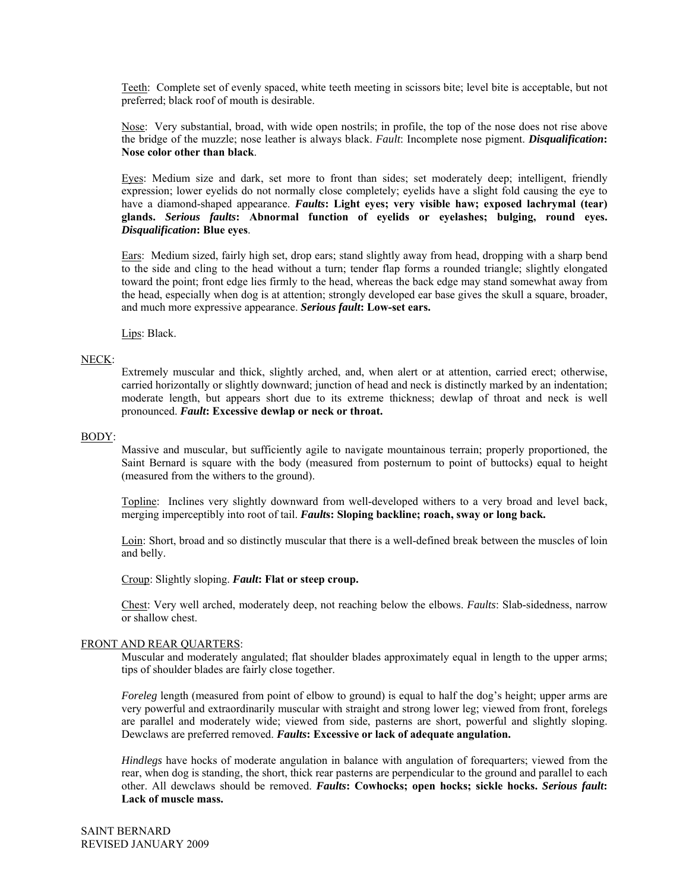Teeth: Complete set of evenly spaced, white teeth meeting in scissors bite; level bite is acceptable, but not preferred; black roof of mouth is desirable.

Nose: Very substantial, broad, with wide open nostrils; in profile, the top of the nose does not rise above the bridge of the muzzle; nose leather is always black. *Fault*: Incomplete nose pigment. *Disqualification***: Nose color other than black**.

Eyes: Medium size and dark, set more to front than sides; set moderately deep; intelligent, friendly expression; lower eyelids do not normally close completely; eyelids have a slight fold causing the eye to have a diamond-shaped appearance. *Faults***: Light eyes; very visible haw; exposed lachrymal (tear) glands.** *Serious faults***: Abnormal function of eyelids or eyelashes; bulging, round eyes.**  *Disqualification***: Blue eyes**.

Ears: Medium sized, fairly high set, drop ears; stand slightly away from head, dropping with a sharp bend to the side and cling to the head without a turn; tender flap forms a rounded triangle; slightly elongated toward the point; front edge lies firmly to the head, whereas the back edge may stand somewhat away from the head, especially when dog is at attention; strongly developed ear base gives the skull a square, broader, and much more expressive appearance. *Serious fault***: Low-set ears.** 

Lips: Black.

# NECK:

Extremely muscular and thick, slightly arched, and, when alert or at attention, carried erect; otherwise, carried horizontally or slightly downward; junction of head and neck is distinctly marked by an indentation; moderate length, but appears short due to its extreme thickness; dewlap of throat and neck is well pronounced. *Fault***: Excessive dewlap or neck or throat.** 

#### BODY:

Massive and muscular, but sufficiently agile to navigate mountainous terrain; properly proportioned, the Saint Bernard is square with the body (measured from posternum to point of buttocks) equal to height (measured from the withers to the ground).

Topline: Inclines very slightly downward from well-developed withers to a very broad and level back, merging imperceptibly into root of tail. *Fault***s: Sloping backline; roach, sway or long back.** 

Loin: Short, broad and so distinctly muscular that there is a well-defined break between the muscles of loin and belly.

Croup: Slightly sloping. *Fault***: Flat or steep croup.**

Chest: Very well arched, moderately deep, not reaching below the elbows. *Faults*: Slab-sidedness, narrow or shallow chest.

#### FRONT AND REAR QUARTERS:

Muscular and moderately angulated; flat shoulder blades approximately equal in length to the upper arms; tips of shoulder blades are fairly close together.

*Foreleg* length (measured from point of elbow to ground) is equal to half the dog's height; upper arms are very powerful and extraordinarily muscular with straight and strong lower leg; viewed from front, forelegs are parallel and moderately wide; viewed from side, pasterns are short, powerful and slightly sloping. Dewclaws are preferred removed. *Faults***: Excessive or lack of adequate angulation.**

*Hindlegs* have hocks of moderate angulation in balance with angulation of forequarters; viewed from the rear, when dog is standing, the short, thick rear pasterns are perpendicular to the ground and parallel to each other. All dewclaws should be removed. *Faults***: Cowhocks; open hocks; sickle hocks.** *Serious fault***: Lack of muscle mass.**